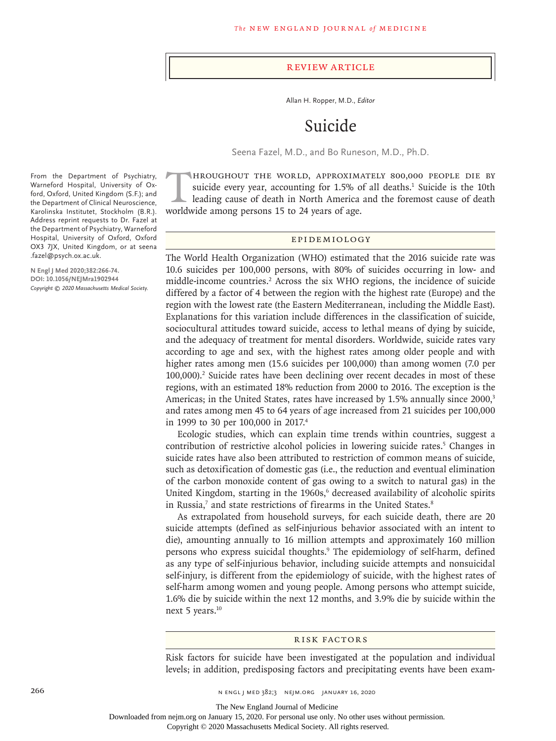#### Review Article

Allan H. Ropper, M.D., *Editor*

# Suicide

Seena Fazel, M.D., and Bo Runeson, M.D., Ph.D.

HROUGHOUT THE WORLD, APPROXIMATELY 800,000 PEOPLE DIE BY<br>suicide every year, accounting for 1.5% of all deaths.<sup>1</sup> Suicide is the 10th<br>leading cause of death in North America and the foremost cause of death<br>worldwide among suicide every year, accounting for 1.5% of all deaths.<sup>1</sup> Suicide is the 10th leading cause of death in North America and the foremost cause of death worldwide among persons 15 to 24 years of age.

## Epidemiology

The World Health Organization (WHO) estimated that the 2016 suicide rate was 10.6 suicides per 100,000 persons, with 80% of suicides occurring in low- and middle-income countries.<sup>2</sup> Across the six WHO regions, the incidence of suicide differed by a factor of 4 between the region with the highest rate (Europe) and the region with the lowest rate (the Eastern Mediterranean, including the Middle East). Explanations for this variation include differences in the classification of suicide, sociocultural attitudes toward suicide, access to lethal means of dying by suicide, and the adequacy of treatment for mental disorders. Worldwide, suicide rates vary according to age and sex, with the highest rates among older people and with higher rates among men (15.6 suicides per 100,000) than among women (7.0 per 100,000).<sup>2</sup> Suicide rates have been declining over recent decades in most of these regions, with an estimated 18% reduction from 2000 to 2016. The exception is the Americas; in the United States, rates have increased by 1.5% annually since 2000,<sup>3</sup> and rates among men 45 to 64 years of age increased from 21 suicides per 100,000 in 1999 to 30 per 100,000 in 2017.4

Ecologic studies, which can explain time trends within countries, suggest a contribution of restrictive alcohol policies in lowering suicide rates.<sup>5</sup> Changes in suicide rates have also been attributed to restriction of common means of suicide, such as detoxification of domestic gas (i.e., the reduction and eventual elimination of the carbon monoxide content of gas owing to a switch to natural gas) in the United Kingdom, starting in the 1960s,<sup>6</sup> decreased availability of alcoholic spirits in Russia, $7$  and state restrictions of firearms in the United States. $8$ 

As extrapolated from household surveys, for each suicide death, there are 20 suicide attempts (defined as self-injurious behavior associated with an intent to die), amounting annually to 16 million attempts and approximately 160 million persons who express suicidal thoughts.<sup>9</sup> The epidemiology of self-harm, defined as any type of self-injurious behavior, including suicide attempts and nonsuicidal self-injury, is different from the epidemiology of suicide, with the highest rates of self-harm among women and young people. Among persons who attempt suicide, 1.6% die by suicide within the next 12 months, and 3.9% die by suicide within the next 5 years.<sup>10</sup>

#### Risk Factors

Risk factors for suicide have been investigated at the population and individual levels; in addition, predisposing factors and precipitating events have been exam-

266 **n Engl j med 382;3** n engl j med 382;3 nejm.org January 16, 2020

The New England Journal of Medicine

Downloaded from nejm.org on January 15, 2020. For personal use only. No other uses without permission.

Copyright © 2020 Massachusetts Medical Society. All rights reserved.

From the Department of Psychiatry, Warneford Hospital, University of Oxford, Oxford, United Kingdom (S.F.); and the Department of Clinical Neuroscience, Karolinska Institutet, Stockholm (B.R.). Address reprint requests to Dr. Fazel at the Department of Psychiatry, Warneford Hospital, University of Oxford, Oxford OX3 7JX, United Kingdom, or at seena .fazel@psych.ox.ac.uk.

**N Engl J Med 2020;382:266-74. DOI: 10.1056/NEJMra1902944** *Copyright © 2020 Massachusetts Medical Society.*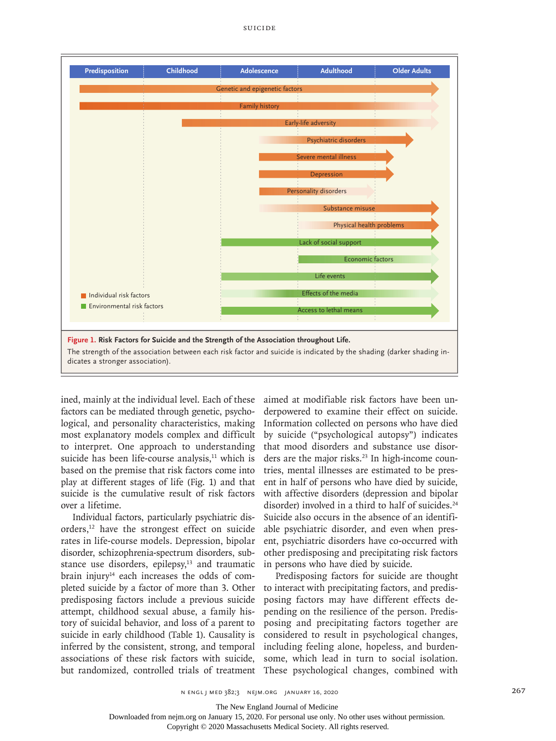

ined, mainly at the individual level. Each of these factors can be mediated through genetic, psychological, and personality characteristics, making most explanatory models complex and difficult to interpret. One approach to understanding suicide has been life-course analysis, $11$  which is based on the premise that risk factors come into play at different stages of life (Fig. 1) and that suicide is the cumulative result of risk factors over a lifetime.

Individual factors, particularly psychiatric disorders,12 have the strongest effect on suicide rates in life-course models. Depression, bipolar disorder, schizophrenia-spectrum disorders, substance use disorders, epilepsy, $13$  and traumatic brain injury $14$  each increases the odds of completed suicide by a factor of more than 3. Other predisposing factors include a previous suicide attempt, childhood sexual abuse, a family history of suicidal behavior, and loss of a parent to suicide in early childhood (Table 1). Causality is inferred by the consistent, strong, and temporal associations of these risk factors with suicide, but randomized, controlled trials of treatment aimed at modifiable risk factors have been underpowered to examine their effect on suicide. Information collected on persons who have died by suicide ("psychological autopsy") indicates that mood disorders and substance use disorders are the major risks.<sup>23</sup> In high-income countries, mental illnesses are estimated to be present in half of persons who have died by suicide, with affective disorders (depression and bipolar disorder) involved in a third to half of suicides.<sup>24</sup> Suicide also occurs in the absence of an identifiable psychiatric disorder, and even when present, psychiatric disorders have co-occurred with other predisposing and precipitating risk factors in persons who have died by suicide.

Predisposing factors for suicide are thought to interact with precipitating factors, and predisposing factors may have different effects depending on the resilience of the person. Predisposing and precipitating factors together are considered to result in psychological changes, including feeling alone, hopeless, and burdensome, which lead in turn to social isolation. These psychological changes, combined with

The New England Journal of Medicine

Downloaded from nejm.org on January 15, 2020. For personal use only. No other uses without permission.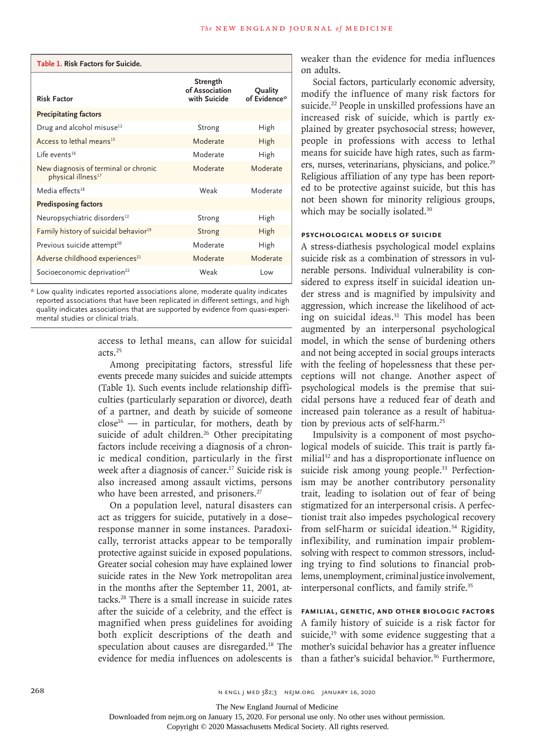| Table 1. Risk Factors for Suicide.                                     |                                            |                         |  |  |  |
|------------------------------------------------------------------------|--------------------------------------------|-------------------------|--|--|--|
| <b>Risk Factor</b>                                                     | Strength<br>of Association<br>with Suicide | Quality<br>of Evidence* |  |  |  |
| <b>Precipitating factors</b>                                           |                                            |                         |  |  |  |
| Drug and alcohol misuse <sup>12</sup>                                  | High<br>Strong                             |                         |  |  |  |
| Access to lethal means <sup>15</sup>                                   | Moderate                                   | High                    |  |  |  |
| $l$ ife events <sup>16</sup>                                           | Moderate                                   | High                    |  |  |  |
| New diagnosis of terminal or chronic<br>physical illness <sup>17</sup> | Moderate                                   | Moderate                |  |  |  |
| Media effects <sup>18</sup>                                            | Weak                                       | Moderate                |  |  |  |
| <b>Predisposing factors</b>                                            |                                            |                         |  |  |  |
| Neuropsychiatric disorders <sup>12</sup>                               | Strong                                     | High                    |  |  |  |
| Family history of suicidal behavior <sup>19</sup>                      | Strong                                     | High                    |  |  |  |
| Previous suicide attempt <sup>20</sup>                                 | Moderate                                   | High                    |  |  |  |
| Adverse childhood experiences <sup>21</sup>                            | Moderate                                   | Moderate                |  |  |  |
| Socioeconomic deprivation <sup>22</sup>                                | Weak                                       | Low                     |  |  |  |

\* Low quality indicates reported associations alone, moderate quality indicates reported associations that have been replicated in different settings, and high quality indicates associations that are supported by evidence from quasi-experimental studies or clinical trials.

> access to lethal means, can allow for suicidal acts.25

> Among precipitating factors, stressful life events precede many suicides and suicide attempts (Table 1). Such events include relationship difficulties (particularly separation or divorce), death of a partner, and death by suicide of someone  $close^{16}$  — in particular, for mothers, death by suicide of adult children.<sup>26</sup> Other precipitating factors include receiving a diagnosis of a chronic medical condition, particularly in the first week after a diagnosis of cancer.<sup>17</sup> Suicide risk is also increased among assault victims, persons who have been arrested, and prisoners.<sup>27</sup>

> On a population level, natural disasters can act as triggers for suicide, putatively in a dose– response manner in some instances. Paradoxically, terrorist attacks appear to be temporally protective against suicide in exposed populations. Greater social cohesion may have explained lower suicide rates in the New York metropolitan area in the months after the September 11, 2001, attacks.28 There is a small increase in suicide rates after the suicide of a celebrity, and the effect is magnified when press guidelines for avoiding both explicit descriptions of the death and speculation about causes are disregarded.18 The evidence for media influences on adolescents is

weaker than the evidence for media influences on adults.

Social factors, particularly economic adversity, modify the influence of many risk factors for suicide.<sup>22</sup> People in unskilled professions have an increased risk of suicide, which is partly explained by greater psychosocial stress; however, people in professions with access to lethal means for suicide have high rates, such as farmers, nurses, veterinarians, physicians, and police.<sup>29</sup> Religious affiliation of any type has been reported to be protective against suicide, but this has not been shown for minority religious groups, which may be socially isolated.<sup>30</sup>

### **Psychological Models of Suicide**

A stress-diathesis psychological model explains suicide risk as a combination of stressors in vulnerable persons. Individual vulnerability is considered to express itself in suicidal ideation under stress and is magnified by impulsivity and aggression, which increase the likelihood of acting on suicidal ideas.<sup>31</sup> This model has been augmented by an interpersonal psychological model, in which the sense of burdening others and not being accepted in social groups interacts with the feeling of hopelessness that these perceptions will not change. Another aspect of psychological models is the premise that suicidal persons have a reduced fear of death and increased pain tolerance as a result of habituation by previous acts of self-harm.25

Impulsivity is a component of most psychological models of suicide. This trait is partly familial<sup>32</sup> and has a disproportionate influence on suicide risk among young people.<sup>33</sup> Perfectionism may be another contributory personality trait, leading to isolation out of fear of being stigmatized for an interpersonal crisis. A perfectionist trait also impedes psychological recovery from self-harm or suicidal ideation.<sup>34</sup> Rigidity, inflexibility, and rumination impair problemsolving with respect to common stressors, including trying to find solutions to financial problems, unemployment, criminal justice involvement, interpersonal conflicts, and family strife.35

**Familial, Genetic, and Other Biologic Factors** A family history of suicide is a risk factor for suicide, $19$  with some evidence suggesting that a mother's suicidal behavior has a greater influence than a father's suicidal behavior.<sup>36</sup> Furthermore,

The New England Journal of Medicine

Downloaded from nejm.org on January 15, 2020. For personal use only. No other uses without permission.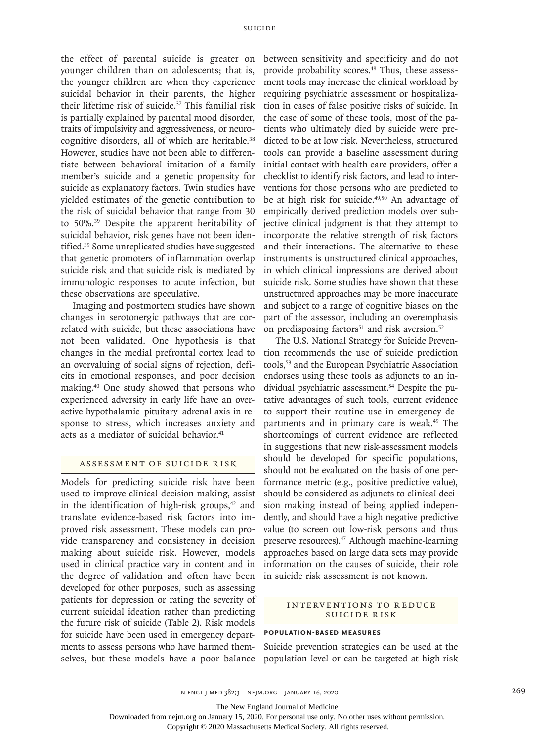the effect of parental suicide is greater on younger children than on adolescents; that is, the younger children are when they experience suicidal behavior in their parents, the higher their lifetime risk of suicide.<sup>37</sup> This familial risk is partially explained by parental mood disorder, traits of impulsivity and aggressiveness, or neurocognitive disorders, all of which are heritable.<sup>38</sup> However, studies have not been able to differentiate between behavioral imitation of a family member's suicide and a genetic propensity for suicide as explanatory factors. Twin studies have yielded estimates of the genetic contribution to the risk of suicidal behavior that range from 30 to 50%.39 Despite the apparent heritability of suicidal behavior, risk genes have not been identified.39 Some unreplicated studies have suggested that genetic promoters of inflammation overlap suicide risk and that suicide risk is mediated by immunologic responses to acute infection, but these observations are speculative.

Imaging and postmortem studies have shown changes in serotonergic pathways that are correlated with suicide, but these associations have not been validated. One hypothesis is that changes in the medial prefrontal cortex lead to an overvaluing of social signs of rejection, deficits in emotional responses, and poor decision making.40 One study showed that persons who experienced adversity in early life have an overactive hypothalamic–pituitary–adrenal axis in response to stress, which increases anxiety and acts as a mediator of suicidal behavior.<sup>41</sup>

## Assessment of Suicide Risk

Models for predicting suicide risk have been used to improve clinical decision making, assist in the identification of high-risk groups, $42$  and translate evidence-based risk factors into improved risk assessment. These models can provide transparency and consistency in decision making about suicide risk. However, models used in clinical practice vary in content and in the degree of validation and often have been developed for other purposes, such as assessing patients for depression or rating the severity of current suicidal ideation rather than predicting the future risk of suicide (Table 2). Risk models for suicide have been used in emergency departments to assess persons who have harmed themselves, but these models have a poor balance

between sensitivity and specificity and do not provide probability scores.<sup>48</sup> Thus, these assessment tools may increase the clinical workload by requiring psychiatric assessment or hospitalization in cases of false positive risks of suicide. In the case of some of these tools, most of the patients who ultimately died by suicide were predicted to be at low risk. Nevertheless, structured tools can provide a baseline assessment during initial contact with health care providers, offer a checklist to identify risk factors, and lead to interventions for those persons who are predicted to be at high risk for suicide.<sup>49,50</sup> An advantage of empirically derived prediction models over subjective clinical judgment is that they attempt to incorporate the relative strength of risk factors and their interactions. The alternative to these instruments is unstructured clinical approaches, in which clinical impressions are derived about suicide risk. Some studies have shown that these unstructured approaches may be more inaccurate and subject to a range of cognitive biases on the part of the assessor, including an overemphasis on predisposing factors $51$  and risk aversion. $52$ 

The U.S. National Strategy for Suicide Prevention recommends the use of suicide prediction tools,53 and the European Psychiatric Association endorses using these tools as adjuncts to an individual psychiatric assessment.<sup>54</sup> Despite the putative advantages of such tools, current evidence to support their routine use in emergency departments and in primary care is weak.<sup>49</sup> The shortcomings of current evidence are reflected in suggestions that new risk-assessment models should be developed for specific populations, should not be evaluated on the basis of one performance metric (e.g., positive predictive value), should be considered as adjuncts to clinical decision making instead of being applied independently, and should have a high negative predictive value (to screen out low-risk persons and thus preserve resources).47 Although machine-learning approaches based on large data sets may provide information on the causes of suicide, their role in suicide risk assessment is not known.

#### INTERVENTIONS TO REDUCE Suicide Risk

#### **Population-Based Measures**

Suicide prevention strategies can be used at the population level or can be targeted at high-risk

The New England Journal of Medicine

Downloaded from nejm.org on January 15, 2020. For personal use only. No other uses without permission.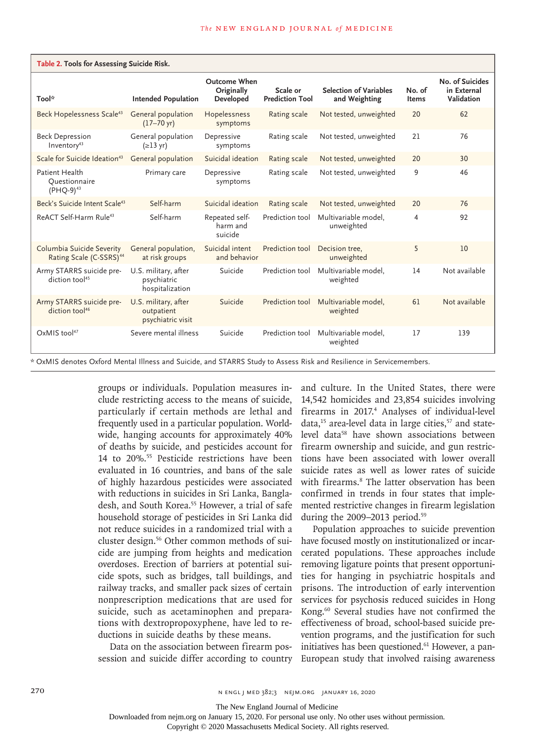| Table 2. Tools for Assessing Suicide Risk.                       |                                                         |                                                |                                    |                                                |                        |                                              |  |
|------------------------------------------------------------------|---------------------------------------------------------|------------------------------------------------|------------------------------------|------------------------------------------------|------------------------|----------------------------------------------|--|
| Tool*                                                            | <b>Intended Population</b>                              | <b>Outcome When</b><br>Originally<br>Developed | Scale or<br><b>Prediction Tool</b> | <b>Selection of Variables</b><br>and Weighting | No. of<br><b>Items</b> | No. of Suicides<br>in External<br>Validation |  |
| Beck Hopelessness Scale <sup>43</sup>                            | General population<br>$(17 - 70 \text{ yr})$            | Hopelessness<br>symptoms                       | Rating scale                       | Not tested, unweighted                         | 20                     | 62                                           |  |
| <b>Beck Depression</b><br>Inventory <sup>43</sup>                | General population<br>$(\geq 13 \text{ yr})$            | Depressive<br>symptoms                         | Rating scale                       | Not tested, unweighted                         | 21                     | 76                                           |  |
| Scale for Suicide Ideation <sup>43</sup>                         | General population                                      | Suicidal ideation                              | Rating scale                       | Not tested, unweighted                         | 20                     | 30                                           |  |
| Patient Health<br>Questionnaire<br>(PHQ-9) <sup>43</sup>         | Primary care                                            | Depressive<br>symptoms                         | Rating scale                       | Not tested, unweighted                         | 9                      | 46                                           |  |
| Beck's Suicide Intent Scale <sup>43</sup>                        | Self-harm                                               | Suicidal ideation                              | Rating scale                       | Not tested, unweighted                         | 20                     | 76                                           |  |
| ReACT Self-Harm Rule <sup>43</sup>                               | Self-harm                                               | Repeated self-<br>harm and<br>suicide          | Prediction tool                    | Multivariable model.<br>unweighted             | 4                      | 92                                           |  |
| Columbia Suicide Severity<br>Rating Scale (C-SSRS) <sup>44</sup> | General population,<br>at risk groups                   | Suicidal intent<br>and behavior                | Prediction tool                    | Decision tree.<br>unweighted                   | 5                      | 10                                           |  |
| Army STARRS suicide pre-<br>diction tool <sup>45</sup>           | U.S. military, after<br>psychiatric<br>hospitalization  | Suicide                                        | Prediction tool                    | Multivariable model.<br>weighted               | 14                     | Not available                                |  |
| Army STARRS suicide pre-<br>diction tool <sup>46</sup>           | U.S. military, after<br>outpatient<br>psychiatric visit | Suicide                                        | Prediction tool                    | Multivariable model.<br>weighted               | 61                     | Not available                                |  |
| $OxMIS$ tool <sup>47</sup>                                       | Severe mental illness                                   | Suicide                                        | Prediction tool                    | Multivariable model.<br>weighted               | 17                     | 139                                          |  |

\* OxMIS denotes Oxford Mental Illness and Suicide, and STARRS Study to Assess Risk and Resilience in Servicemembers.

groups or individuals. Population measures include restricting access to the means of suicide, particularly if certain methods are lethal and frequently used in a particular population. Worldwide, hanging accounts for approximately 40% of deaths by suicide, and pesticides account for 14 to 20%.55 Pesticide restrictions have been evaluated in 16 countries, and bans of the sale of highly hazardous pesticides were associated with reductions in suicides in Sri Lanka, Bangladesh, and South Korea.<sup>55</sup> However, a trial of safe household storage of pesticides in Sri Lanka did not reduce suicides in a randomized trial with a cluster design.56 Other common methods of suicide are jumping from heights and medication overdoses. Erection of barriers at potential suicide spots, such as bridges, tall buildings, and railway tracks, and smaller pack sizes of certain nonprescription medications that are used for suicide, such as acetaminophen and preparations with dextropropoxyphene, have led to reductions in suicide deaths by these means.

Data on the association between firearm possession and suicide differ according to country and culture. In the United States, there were 14,542 homicides and 23,854 suicides involving firearms in 2017.4 Analyses of individual-level data, $15$  area-level data in large cities, $57$  and statelevel data<sup>58</sup> have shown associations between firearm ownership and suicide, and gun restrictions have been associated with lower overall suicide rates as well as lower rates of suicide with firearms.<sup>8</sup> The latter observation has been confirmed in trends in four states that implemented restrictive changes in firearm legislation during the 2009–2013 period.<sup>59</sup>

Population approaches to suicide prevention have focused mostly on institutionalized or incarcerated populations. These approaches include removing ligature points that present opportunities for hanging in psychiatric hospitals and prisons. The introduction of early intervention services for psychosis reduced suicides in Hong Kong.60 Several studies have not confirmed the effectiveness of broad, school-based suicide prevention programs, and the justification for such initiatives has been questioned.<sup>61</sup> However, a pan-European study that involved raising awareness

The New England Journal of Medicine

Downloaded from nejm.org on January 15, 2020. For personal use only. No other uses without permission.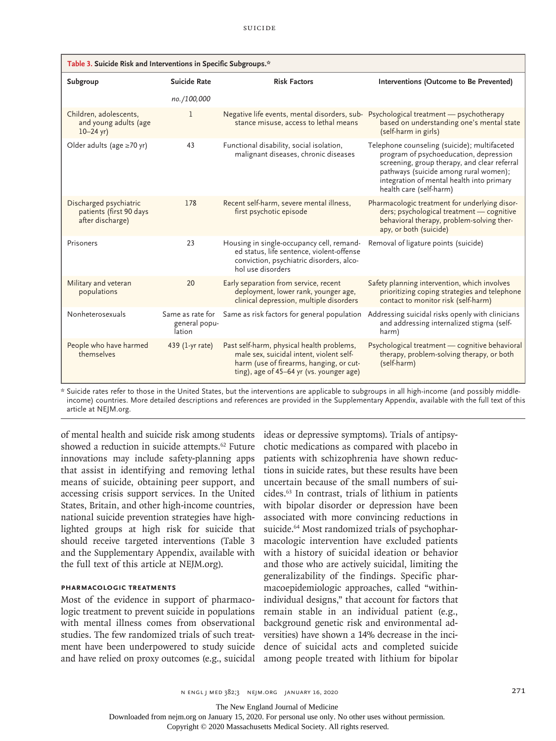| Table 3. Suicide Risk and Interventions in Specific Subgroups.*       |                         |                                                                                                                                                                              |                                                                                                                                                                                                                                                         |  |  |  |
|-----------------------------------------------------------------------|-------------------------|------------------------------------------------------------------------------------------------------------------------------------------------------------------------------|---------------------------------------------------------------------------------------------------------------------------------------------------------------------------------------------------------------------------------------------------------|--|--|--|
| Subgroup                                                              | Suicide Rate            | <b>Risk Factors</b>                                                                                                                                                          | Interventions (Outcome to Be Prevented)                                                                                                                                                                                                                 |  |  |  |
|                                                                       | no./100,000             |                                                                                                                                                                              |                                                                                                                                                                                                                                                         |  |  |  |
| Children, adolescents,<br>and young adults (age<br>$10 - 24$ yr)      | 1                       | Negative life events, mental disorders, sub-<br>stance misuse, access to lethal means                                                                                        | Psychological treatment - psychotherapy<br>based on understanding one's mental state<br>(self-harm in girls)                                                                                                                                            |  |  |  |
| Older adults (age $\geq 70$ yr)                                       | 43                      | Functional disability, social isolation,<br>malignant diseases, chronic diseases                                                                                             | Telephone counseling (suicide); multifaceted<br>program of psychoeducation, depression<br>screening, group therapy, and clear referral<br>pathways (suicide among rural women);<br>integration of mental health into primary<br>health care (self-harm) |  |  |  |
| Discharged psychiatric<br>patients (first 90 days<br>after discharge) | 178                     | Recent self-harm, severe mental illness,<br>first psychotic episode                                                                                                          | Pharmacologic treatment for underlying disor-<br>ders; psychological treatment - cognitive<br>behavioral therapy, problem-solving ther-<br>apy, or both (suicide)                                                                                       |  |  |  |
| Prisoners                                                             | 23                      | Housing in single-occupancy cell, remand-<br>ed status, life sentence, violent-offense<br>conviction, psychiatric disorders, alco-<br>hol use disorders                      | Removal of ligature points (suicide)                                                                                                                                                                                                                    |  |  |  |
| Military and veteran<br>populations                                   | 20                      | Early separation from service, recent<br>deployment, lower rank, younger age,<br>clinical depression, multiple disorders                                                     | Safety planning intervention, which involves<br>prioritizing coping strategies and telephone<br>contact to monitor risk (self-harm)                                                                                                                     |  |  |  |
| Nonheterosexuals                                                      | general popu-<br>lation | Same as rate for Same as risk factors for general population                                                                                                                 | Addressing suicidal risks openly with clinicians<br>and addressing internalized stigma (self-<br>harm)                                                                                                                                                  |  |  |  |
| People who have harmed<br>themselves                                  | 439 (1-yr rate)         | Past self-harm, physical health problems,<br>male sex, suicidal intent, violent self-<br>harm (use of firearms, hanging, or cut-<br>ting), age of 45-64 yr (vs. younger age) | Psychological treatment - cognitive behavioral<br>therapy, problem-solving therapy, or both<br>(self-harm)                                                                                                                                              |  |  |  |

\* Suicide rates refer to those in the United States, but the interventions are applicable to subgroups in all high-income (and possibly middleincome) countries. More detailed descriptions and references are provided in the Supplementary Appendix, available with the full text of this article at NEJM.org.

of mental health and suicide risk among students showed a reduction in suicide attempts.<sup>62</sup> Future innovations may include safety-planning apps that assist in identifying and removing lethal means of suicide, obtaining peer support, and accessing crisis support services. In the United States, Britain, and other high-income countries, national suicide prevention strategies have highlighted groups at high risk for suicide that should receive targeted interventions (Table 3 and the Supplementary Appendix, available with the full text of this article at NEJM.org).

## **Pharmacologic Treatments**

Most of the evidence in support of pharmacologic treatment to prevent suicide in populations with mental illness comes from observational studies. The few randomized trials of such treatment have been underpowered to study suicide and have relied on proxy outcomes (e.g., suicidal ideas or depressive symptoms). Trials of antipsychotic medications as compared with placebo in patients with schizophrenia have shown reductions in suicide rates, but these results have been uncertain because of the small numbers of suicides.63 In contrast, trials of lithium in patients with bipolar disorder or depression have been associated with more convincing reductions in suicide.<sup>64</sup> Most randomized trials of psychopharmacologic intervention have excluded patients with a history of suicidal ideation or behavior and those who are actively suicidal, limiting the generalizability of the findings. Specific pharmacoepidemiologic approaches, called "withinindividual designs," that account for factors that remain stable in an individual patient (e.g., background genetic risk and environmental adversities) have shown a 14% decrease in the incidence of suicidal acts and completed suicide among people treated with lithium for bipolar

n engl j med 382;3 nejm.org January 16, 2020 271

The New England Journal of Medicine

Downloaded from nejm.org on January 15, 2020. For personal use only. No other uses without permission.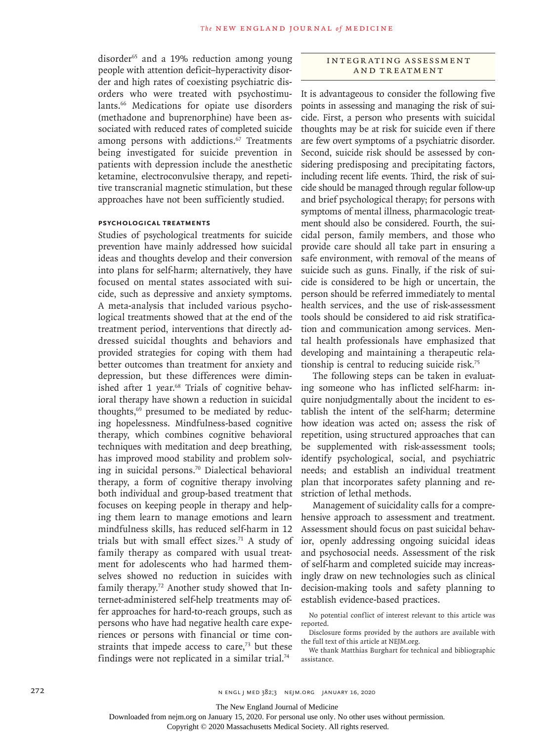disorder<sup>65</sup> and a 19% reduction among young people with attention deficit–hyperactivity disorder and high rates of coexisting psychiatric disorders who were treated with psychostimulants.66 Medications for opiate use disorders (methadone and buprenorphine) have been associated with reduced rates of completed suicide among persons with addictions.<sup>67</sup> Treatments being investigated for suicide prevention in patients with depression include the anesthetic ketamine, electroconvulsive therapy, and repetitive transcranial magnetic stimulation, but these approaches have not been sufficiently studied.

## **Psychological Treatments**

Studies of psychological treatments for suicide prevention have mainly addressed how suicidal ideas and thoughts develop and their conversion into plans for self-harm; alternatively, they have focused on mental states associated with suicide, such as depressive and anxiety symptoms. A meta-analysis that included various psychological treatments showed that at the end of the treatment period, interventions that directly addressed suicidal thoughts and behaviors and provided strategies for coping with them had better outcomes than treatment for anxiety and depression, but these differences were diminished after 1 year.<sup>68</sup> Trials of cognitive behavioral therapy have shown a reduction in suicidal thoughts,69 presumed to be mediated by reducing hopelessness. Mindfulness-based cognitive therapy, which combines cognitive behavioral techniques with meditation and deep breathing, has improved mood stability and problem solving in suicidal persons.70 Dialectical behavioral therapy, a form of cognitive therapy involving both individual and group-based treatment that focuses on keeping people in therapy and helping them learn to manage emotions and learn mindfulness skills, has reduced self-harm in 12 trials but with small effect sizes.<sup>71</sup> A study of family therapy as compared with usual treatment for adolescents who had harmed themselves showed no reduction in suicides with family therapy.72 Another study showed that Internet-administered self-help treatments may offer approaches for hard-to-reach groups, such as persons who have had negative health care experiences or persons with financial or time constraints that impede access to care, $73$  but these findings were not replicated in a similar trial.<sup>74</sup>

## INTEGRATING ASSESSMENT and Treatment

It is advantageous to consider the following five points in assessing and managing the risk of suicide. First, a person who presents with suicidal thoughts may be at risk for suicide even if there are few overt symptoms of a psychiatric disorder. Second, suicide risk should be assessed by considering predisposing and precipitating factors, including recent life events. Third, the risk of suicide should be managed through regular follow-up and brief psychological therapy; for persons with symptoms of mental illness, pharmacologic treatment should also be considered. Fourth, the suicidal person, family members, and those who provide care should all take part in ensuring a safe environment, with removal of the means of suicide such as guns. Finally, if the risk of suicide is considered to be high or uncertain, the person should be referred immediately to mental health services, and the use of risk-assessment tools should be considered to aid risk stratification and communication among services. Mental health professionals have emphasized that developing and maintaining a therapeutic relationship is central to reducing suicide risk.75

The following steps can be taken in evaluating someone who has inflicted self-harm: inquire nonjudgmentally about the incident to establish the intent of the self-harm; determine how ideation was acted on; assess the risk of repetition, using structured approaches that can be supplemented with risk-assessment tools; identify psychological, social, and psychiatric needs; and establish an individual treatment plan that incorporates safety planning and restriction of lethal methods.

Management of suicidality calls for a comprehensive approach to assessment and treatment. Assessment should focus on past suicidal behavior, openly addressing ongoing suicidal ideas and psychosocial needs. Assessment of the risk of self-harm and completed suicide may increasingly draw on new technologies such as clinical decision-making tools and safety planning to establish evidence-based practices.

No potential conflict of interest relevant to this article was reported.

Disclosure forms provided by the authors are available with the full text of this article at NEJM.org.

We thank Matthias Burghart for technical and bibliographic assistance.

The New England Journal of Medicine

Downloaded from nejm.org on January 15, 2020. For personal use only. No other uses without permission.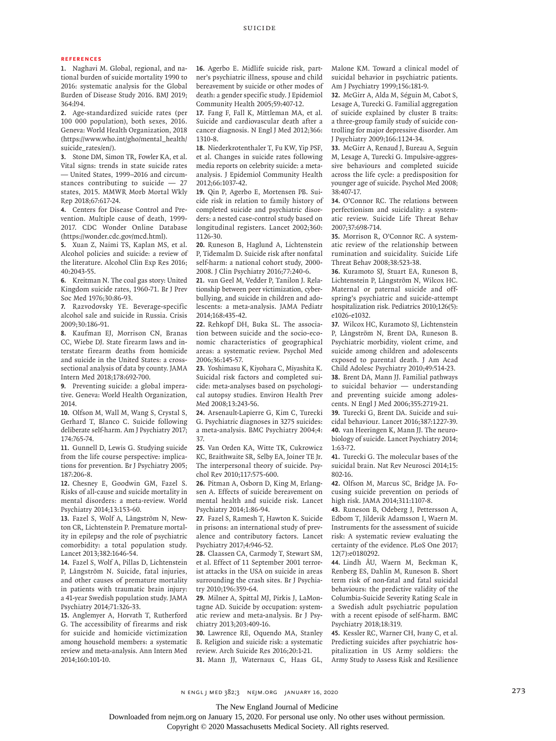#### **References**

**1.** Naghavi M. Global, regional, and national burden of suicide mortality 1990 to 2016: systematic analysis for the Global Burden of Disease Study 2016. BMJ 2019; 364:l94.

**2.** Age-standardized suicide rates (per 100 000 population), both sexes, 2016. Geneva: World Health Organization, 2018 (https://www.who.int/gho/mental\_health/ suicide\_rates/en/).

**3.** Stone DM, Simon TR, Fowler KA, et al. Vital signs: trends in state suicide rates — United States, 1999–2016 and circumstances contributing to suicide — 27 states, 2015. MMWR Morb Mortal Wkly Rep 2018;67:617-24.

**4.** Centers for Disease Control and Prevention. Multiple cause of death, 1999- 2017. CDC Wonder Online Database (https://wonder.cdc.gov/mcd.html).

**5.** Xuan Z, Naimi TS, Kaplan MS, et al. Alcohol policies and suicide: a review of the literature. Alcohol Clin Exp Res 2016; 40:2043-55.

**6.** Kreitman N. The coal gas story: United Kingdom suicide rates, 1960-71. Br J Prev Soc Med 1976;30:86-93.

**7.** Razvodovsky YE. Beverage-specific alcohol sale and suicide in Russia. Crisis 2009;30:186-91.

**8.** Kaufman EJ, Morrison CN, Branas CC, Wiebe DJ. State firearm laws and interstate firearm deaths from homicide and suicide in the United States: a crosssectional analysis of data by county. JAMA Intern Med 2018;178:692-700.

**9.** Preventing suicide: a global imperative. Geneva: World Health Organization, 2014.

**10.** Olfson M, Wall M, Wang S, Crystal S, Gerhard T, Blanco C. Suicide following deliberate self-harm. Am J Psychiatry 2017; 174:765-74.

**11.** Gunnell D, Lewis G. Studying suicide from the life course perspective: implications for prevention. Br J Psychiatry 2005; 187:206-8.

**12.** Chesney E, Goodwin GM, Fazel S. Risks of all-cause and suicide mortality in mental disorders: a meta-review. World Psychiatry 2014;13:153-60.

**13.** Fazel S, Wolf A, Långström N, Newton CR, Lichtenstein P. Premature mortality in epilepsy and the role of psychiatric comorbidity: a total population study. Lancet 2013;382:1646-54.

**14.** Fazel S, Wolf A, Pillas D, Lichtenstein P, Långström N. Suicide, fatal injuries, and other causes of premature mortality in patients with traumatic brain injury: a 41-year Swedish population study. JAMA Psychiatry 2014;71:326-33.

**15.** Anglemyer A, Horvath T, Rutherford G. The accessibility of firearms and risk for suicide and homicide victimization among household members: a systematic review and meta-analysis. Ann Intern Med 2014;160:101-10.

**16.** Agerbo E. Midlife suicide risk, partner's psychiatric illness, spouse and child bereavement by suicide or other modes of death: a gender specific study. J Epidemiol Community Health 2005;59:407-12.

**17.** Fang F, Fall K, Mittleman MA, et al. Suicide and cardiovascular death after a cancer diagnosis. N Engl J Med 2012;366: 1310-8.

**18.** Niederkrotenthaler T, Fu KW, Yip PSF, et al. Changes in suicide rates following media reports on celebrity suicide: a metaanalysis. J Epidemiol Community Health 2012;66:1037-42.

**19.** Qin P, Agerbo E, Mortensen PB. Suicide risk in relation to family history of completed suicide and psychiatric disorders: a nested case-control study based on longitudinal registers. Lancet 2002;360: 1126-30.

**20.** Runeson B, Haglund A, Lichtenstein P, Tidemalm D. Suicide risk after nonfatal self-harm: a national cohort study, 2000- 2008. J Clin Psychiatry 2016;77:240-6.

**21.** van Geel M, Vedder P, Tanilon J. Relationship between peer victimization, cyberbullying, and suicide in children and adolescents: a meta-analysis. JAMA Pediatr 2014;168:435-42.

**22.** Rehkopf DH, Buka SL. The association between suicide and the socio-economic characteristics of geographical areas: a systematic review. Psychol Med 2006;36:145-57.

**23.** Yoshimasu K, Kiyohara C, Miyashita K. Suicidal risk factors and completed suicide: meta-analyses based on psychological autopsy studies. Environ Health Prev Med 2008;13:243-56.

**24.** Arsenault-Lapierre G, Kim C, Turecki G. Psychiatric diagnoses in 3275 suicides: a meta-analysis. BMC Psychiatry 2004;4: 37.

**25.** Van Orden KA, Witte TK, Cukrowicz KC, Braithwaite SR, Selby EA, Joiner TE Jr. The interpersonal theory of suicide. Psychol Rev 2010;117:575-600.

**26.** Pitman A, Osborn D, King M, Erlangsen A. Effects of suicide bereavement on mental health and suicide risk. Lancet Psychiatry 2014;1:86-94.

**27.** Fazel S, Ramesh T, Hawton K. Suicide in prisons: an international study of prevalence and contributory factors. Lancet Psychiatry 2017;4:946-52.

**28.** Claassen CA, Carmody T, Stewart SM, et al. Effect of 11 September 2001 terrorist attacks in the USA on suicide in areas surrounding the crash sites. Br J Psychiatry 2010;196:359-64.

**29.** Milner A, Spittal MJ, Pirkis J, LaMontagne AD. Suicide by occupation: systematic review and meta-analysis. Br J Psychiatry 2013;203:409-16.

**30.** Lawrence RE, Oquendo MA, Stanley B. Religion and suicide risk: a systematic review. Arch Suicide Res 2016;20:1-21. **31.** Mann JJ, Waternaux C, Haas GL,

Malone KM. Toward a clinical model of suicidal behavior in psychiatric patients. Am J Psychiatry 1999;156:181-9.

**32.** McGirr A, Alda M, Séguin M, Cabot S, Lesage A, Turecki G. Familial aggregation of suicide explained by cluster B traits: a three-group family study of suicide controlling for major depressive disorder. Am J Psychiatry 2009;166:1124-34.

**33.** McGirr A, Renaud J, Bureau A, Seguin M, Lesage A, Turecki G. Impulsive-aggressive behaviours and completed suicide across the life cycle: a predisposition for younger age of suicide. Psychol Med 2008; 38:407-17.

**34.** O'Connor RC. The relations between perfectionism and suicidality: a systematic review. Suicide Life Threat Behav 2007;37:698-714.

**35.** Morrison R, O'Connor RC. A systematic review of the relationship between rumination and suicidality. Suicide Life Threat Behav 2008;38:523-38.

**36.** Kuramoto SJ, Stuart EA, Runeson B, Lichtenstein P, Långström N, Wilcox HC. Maternal or paternal suicide and offspring's psychiatric and suicide-attempt hospitalization risk. Pediatrics 2010;126(5): e1026-e1032.

**37.** Wilcox HC, Kuramoto SJ, Lichtenstein P, Långström N, Brent DA, Runeson B. Psychiatric morbidity, violent crime, and suicide among children and adolescents exposed to parental death. J Am Acad Child Adolesc Psychiatry 2010;49:514-23. **38.** Brent DA, Mann JJ. Familial pathways to suicidal behavior — understanding and preventing suicide among adolescents. N Engl J Med 2006;355:2719-21.

**39.** Turecki G, Brent DA. Suicide and suicidal behaviour. Lancet 2016;387:1227-39. **40.** van Heeringen K, Mann JJ. The neurobiology of suicide. Lancet Psychiatry 2014; 1:63-72.

**41.** Turecki G. The molecular bases of the suicidal brain. Nat Rev Neurosci 2014;15: 802-16.

**42.** Olfson M, Marcus SC, Bridge JA. Focusing suicide prevention on periods of high risk. JAMA 2014;311:1107-8.

**43.** Runeson B, Odeberg J, Pettersson A, Edbom T, Jildevik Adamsson I, Waern M. Instruments for the assessment of suicide risk: A systematic review evaluating the certainty of the evidence. PLoS One 2017; 12(7):e0180292.

**44.** Lindh ÅU, Waern M, Beckman K, Renberg ES, Dahlin M, Runeson B. Short term risk of non-fatal and fatal suicidal behaviours: the predictive validity of the Columbia-Suicide Severity Rating Scale in a Swedish adult psychiatric population with a recent episode of self-harm. BMC Psychiatry 2018;18:319.

**45.** Kessler RC, Warner CH, Ivany C, et al. Predicting suicides after psychiatric hospitalization in US Army soldiers: the Army Study to Assess Risk and Resilience

n engl j med 382;3 nejm.org January 16, 2020 273

The New England Journal of Medicine

Downloaded from nejm.org on January 15, 2020. For personal use only. No other uses without permission.